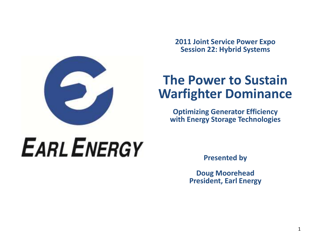**2011 Joint Service Power Expo Session 22: Hybrid Systems**

# **The Power to Sustain Warfighter Dominance**

**Optimizing Generator Efficiency with Energy Storage Technologies**

# **EARL ENERGY**

**Presented by** 

**Doug Moorehead President, Earl Energy**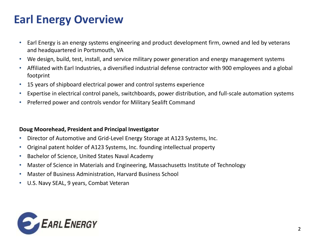## **Earl Energy Overview**

- Earl Energy is an energy systems engineering and product development firm, owned and led by veterans and headquartered in Portsmouth, VA
- We design, build, test, install, and service military power generation and energy management systems
- Affiliated with Earl Industries, a diversified industrial defense contractor with 900 employees and a global footprint
- 15 years of shipboard electrical power and control systems experience
- Expertise in electrical control panels, switchboards, power distribution, and full-scale automation systems
- Preferred power and controls vendor for Military Sealift Command

### **Doug Moorehead, President and Principal Investigator**

- Director of Automotive and Grid-Level Energy Storage at A123 Systems, Inc.
- Original patent holder of A123 Systems, Inc. founding intellectual property
- Bachelor of Science, United States Naval Academy
- Master of Science in Materials and Engineering, Massachusetts Institute of Technology
- Master of Business Administration, Harvard Business School
- U.S. Navy SEAL, 9 years, Combat Veteran

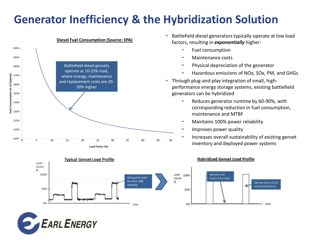### **Generator Inefficiency & the Hybridization Solution**



### **Diesel Fuel Consumption (Source: EPA)**

- Battlefield diesel generators typically operate at low load factors, resulting in *exponentially* higher:
	- Fuel consumption
	- Maintenance costs
	- Physical depreciation of the generator
	- Hazardous emissions of NOx, SOx, PM, and GHGs
- Through plug-and-play integration of small, highperformance energy storage systems, existing battlefield generators can be hybridized
	- Reduces generator runtime by 60-90%, with corresponding reduction in fuel consumption, maintenance and MTBF
	- Maintains 100% power reliability
	- Improves power quality
- Increases overall sustainability of existing genset <sup>45</sup> <sup>50</sup> inventory and deployed power systems

Gerset only runs at

optimal efficiency

time



### **Hybridized Genset Load Profile**

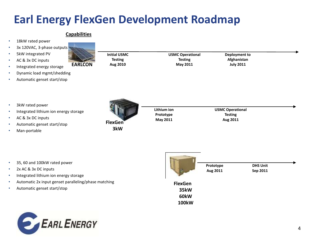## **Earl Energy FlexGen Development Roadmap**

### **Capabilities**

| ٠                                                     | 18kW rated power                                                                                                             |                       |                                      |                                                       |                             |
|-------------------------------------------------------|------------------------------------------------------------------------------------------------------------------------------|-----------------------|--------------------------------------|-------------------------------------------------------|-----------------------------|
| $\bullet$                                             | 3x 120VAC, 3-phase outputs                                                                                                   |                       |                                      |                                                       |                             |
| $\bullet$                                             | 5kW integrated PV                                                                                                            | <b>Initial USMC</b>   | <b>USMC Operational</b>              | <b>Deployment to</b>                                  |                             |
| $\bullet$                                             | AC & 3x DC inputs                                                                                                            | <b>Testing</b>        | <b>Testing</b>                       | Afghanistan                                           |                             |
| $\bullet$                                             | <b>EARLCON</b><br>Integrated energy storage                                                                                  | Aug 2010              | May 2011                             | <b>July 2011</b>                                      |                             |
| $\bullet$                                             | Dynamic load mgmt/shedding                                                                                                   |                       |                                      |                                                       |                             |
| ٠                                                     | Automatic genset start/stop                                                                                                  |                       |                                      |                                                       |                             |
| $\bullet$<br>$\bullet$<br>$\bullet$<br>$\bullet$<br>٠ | 3kW rated power<br>Integrated lithium ion energy storage<br>AC & 3x DC inputs<br>Automatic genset start/stop<br>Man-portable | <b>FlexGen</b><br>3kW | Lithium ion<br>Prototype<br>May 2011 | <b>USMC Operational</b><br><b>Testing</b><br>Aug 2011 |                             |
| $\bullet$<br>٠                                        | 35, 60 and 100kW rated power<br>2x AC & 3x DC inputs                                                                         |                       |                                      | Prototype<br>Aug 2011                                 | <b>DHS Unit</b><br>Sep 2011 |

- 2x AC & 3x DC inputs
- Integrated lithium ion energy storage
- Automatic 2x input genset paralleling/phase matching
- Automatic genset start/stop



**35kW** 

**60kW 100kW**

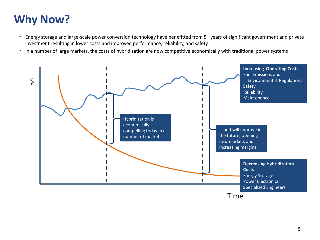# **Why Now?**

- Energy storage and large-scale power conversion technology have benefitted from 5+ years of significant government and private investment resulting in lower costs and improved performance, reliability, and safety
- In a number of large markets, the costs of hybridization are now competitive economically with traditional power systems

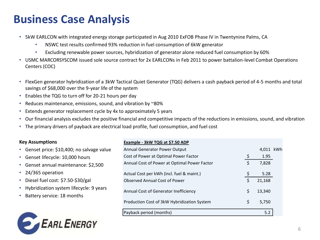### **Business Case Analysis**

- 5kW EARLCON with integrated energy storage participated in Aug 2010 ExFOB Phase IV in Twentynine Palms, CA
	- NSWC test results confirmed 93% reduction in fuel consumption of 6kW generator
	- Excluding renewable power sources, hybridization of generator alone reduced fuel consumption by 60%
- USMC MARCORSYSCOM issued sole source contract for 2x EARLCONs in Feb 2011 to power battalion-level Combat Operations Centers (COC)
- FlexGen generator hybridization of a 3kW Tactical Quiet Generator (TQG) delivers a cash payback period of 4-5 months and total savings of \$68,000 over the 9-year life of the system
- Enables the TQG to turn off for 20-21 hours per day

**EARL ENERGY** 

- Reduces maintenance, emissions, sound, and vibration by ~80%
- Extends generator replacement cycle by 4x to approximately 5 years
- Our financial analysis excludes the positive financial and competitive impacts of the reductions in emissions, sound, and vibration
- The primary drivers of payback are electrical load profile, fuel consumption, and fuel cost

| <b>Key Assumptions</b>                                                               | Example - 3kW TQG at \$7.50 ADP              |           |  |
|--------------------------------------------------------------------------------------|----------------------------------------------|-----------|--|
| • Genset price: \$10,400; no salvage value                                           | Annual Generator Power Output                | 4,011 kWh |  |
| • Genset lifecycle: 10,000 hours                                                     | Cost of Power at Optimal Power Factor        | 1.95      |  |
| • Genset annual maintenance: \$2,500                                                 | Annual Cost of Power at Optimal Power Factor | 7,828     |  |
| $\cdot$ 24/365 operation                                                             | Actual Cost per kWh (incl. fuel & maint.)    | 5.28      |  |
| • Diesel fuel cost: \$7.50-\$30/gal                                                  | <b>Observed Annual Cost of Power</b>         | 21,168    |  |
| • Hybridization system lifecycle: 9 years<br>Battery service: 18 months<br>$\bullet$ | Annual Cost of Generator Inefficiency        | 13,340    |  |
|                                                                                      | Production Cost of 3kW Hybridization System  | 5.750     |  |
|                                                                                      | Payback period (months)                      | 5.2       |  |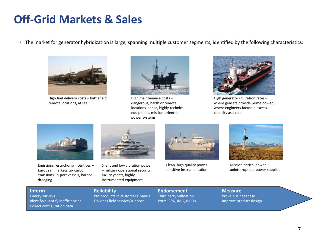### **Off-Grid Markets & Sales**

• The market for generator hybridization is large, spanning multiple customer segments, identified by the following characteristics:



High fuel delivery costs – battlefield, remote locations, at sea



High maintenance costs – dangerous, harsh or remote locations, at sea, highly technical equipment, mission-oriented power systems



High generator utilization rates – where gensets provide prime power, where engineers factor in excess capacity as a rule



Emissions restrictions/incentives – European markets tax carbon emissions, in-port vessels, harbor dredging



Silent and low vibration power – military operational security, luxury yachts, highly instrumented equipment



Clean, high quality power – sensitive instrumentation



Mission-critical power – uninterruptible power supplies

Collect configuration data

Put products in customers' hands Third party validation Prove business case Identify/quantify inefficiencies Flawless field service/support Ports, EPA, IMO, NGOs Improve product design

**Inform**<br> **Reliability Endorsement Reliability Endorsement Measure**<br> **Energy surveys Prove busing** Prove busing